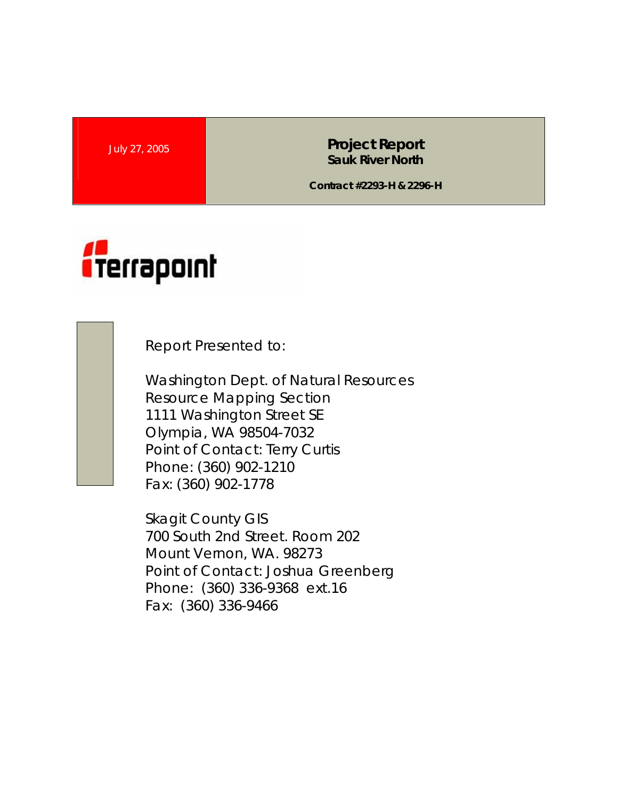July 27, 2005 **Project Report Sauk River North** 

**Contract #2293-H & 2296-H** 



Report Presented to:

Washington Dept. of Natural Resources Resource Mapping Section 1111 Washington Street SE Olympia, WA 98504-7032 Point of Contact: Terry Curtis Phone: (360) 902-1210 Fax: (360) 902-1778

Skagit County GIS 700 South 2nd Street. Room 202 Mount Vernon, WA. 98273 Point of Contact: Joshua Greenberg Phone: (360) 336-9368 ext.16 Fax: (360) 336-9466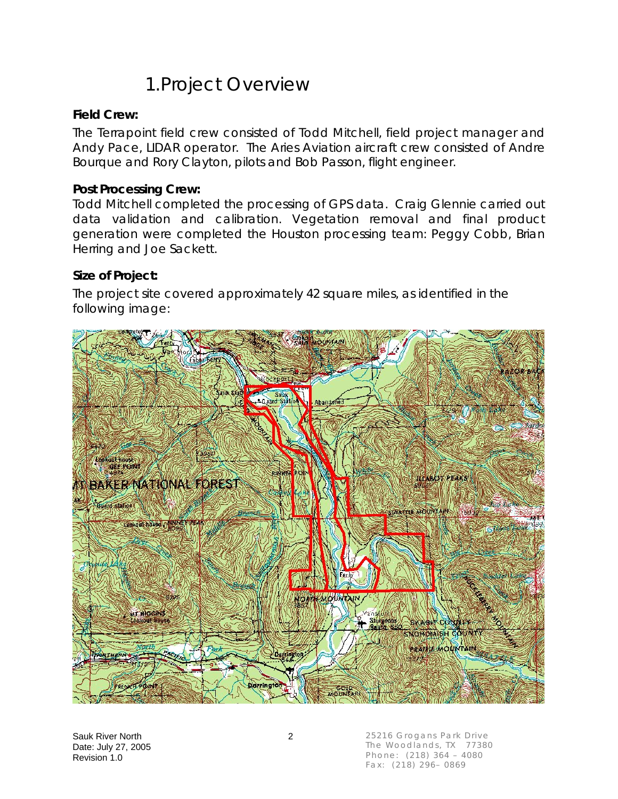## 1.Project Overview

#### **Field Crew:**

The Terrapoint field crew consisted of Todd Mitchell, field project manager and Andy Pace, LIDAR operator. The Aries Aviation aircraft crew consisted of Andre Bourque and Rory Clayton, pilots and Bob Passon, flight engineer.

#### **Post Processing Crew:**

Todd Mitchell completed the processing of GPS data. Craig Glennie carried out data validation and calibration. Vegetation removal and final product generation were completed the Houston processing team: Peggy Cobb, Brian Herring and Joe Sackett.

#### **Size of Project:**

The project site covered approximately 42 square miles, as identified in the following image:



25216 Grogans Park Drive The Woodlands, TX 77380 Phone: (218) 364 – 4080 Fax: (218) 296– 0869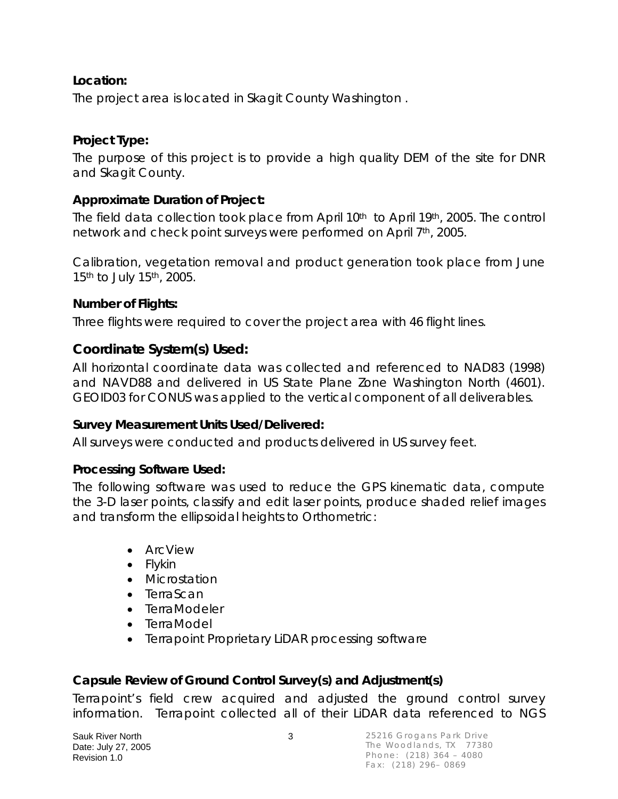### **Location:**

The project area is located in Skagit County Washington .

### **Project Type:**

The purpose of this project is to provide a high quality DEM of the site for DNR and Skagit County.

### **Approximate Duration of Project:**

The field data collection took place from April 10<sup>th</sup> to April 19<sup>th</sup>, 2005. The control network and check point surveys were performed on April 7th, 2005.

Calibration, vegetation removal and product generation took place from June 15<sup>th</sup> to July 15<sup>th</sup>, 2005.

### **Number of Flights:**

Three flights were required to cover the project area with 46 flight lines.

### **Coordinate System(s) Used:**

All horizontal coordinate data was collected and referenced to NAD83 (1998) and NAVD88 and delivered in US State Plane Zone Washington North (4601). GEOID03 for CONUS was applied to the vertical component of all deliverables.

### **Survey Measurement Units Used/Delivered:**

All surveys were conducted and products delivered in US survey feet.

### **Processing Software Used:**

The following software was used to reduce the GPS kinematic data, compute the 3-D laser points, classify and edit laser points, produce shaded relief images and transform the ellipsoidal heights to Orthometric:

- ArcView
- Flykin
- Microstation
- TerraScan
- TerraModeler
- TerraModel
- Terrapoint Proprietary LiDAR processing software

### **Capsule Review of Ground Control Survey(s) and Adjustment(s)**

Terrapoint's field crew acquired and adjusted the ground control survey information. Terrapoint collected all of their LiDAR data referenced to NGS

Sauk River North 3 Date: July 27, 2005 Revision 1.0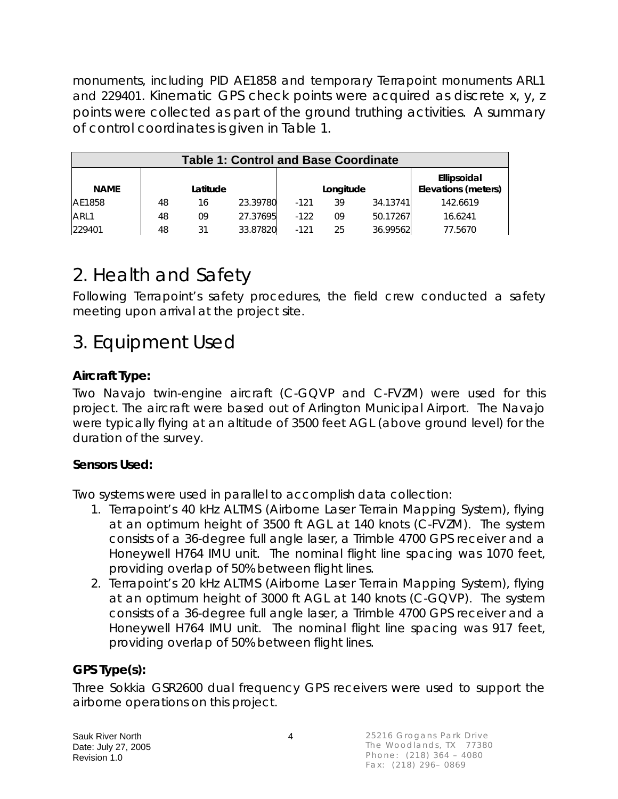monuments, including PID AE1858 and temporary Terrapoint monuments ARL1 and 229401. Kinematic GPS check points were acquired as discrete x, y, z points were collected as part of the ground truthing activities. A summary of control coordinates is given in Table 1.

| <b>Table 1: Control and Base Coordinate</b> |          |    |          |           |    |          |                                           |  |
|---------------------------------------------|----------|----|----------|-----------|----|----------|-------------------------------------------|--|
| <b>NAME</b>                                 | Latitude |    |          | Longitude |    |          | Ellipsoidal<br><b>Elevations (meters)</b> |  |
| AE1858                                      | 48       | 16 | 23.39780 | $-121$    | 39 | 34.13741 | 142.6619                                  |  |
| ARL1                                        | 48       | 09 | 27.37695 | $-122$    | 09 | 50.17267 | 16.6241                                   |  |
| 229401                                      | 48       | 31 | 33.87820 | $-121$    | 25 | 36.99562 | 77.5670                                   |  |

# 2. Health and Safety

Following Terrapoint's safety procedures, the field crew conducted a safety meeting upon arrival at the project site.

## 3. Equipment Used

### **Aircraft Type:**

Two Navajo twin-engine aircraft (C-GQVP and C-FVZM) were used for this project. The aircraft were based out of Arlington Municipal Airport. The Navajo were typically flying at an altitude of 3500 feet AGL (above ground level) for the duration of the survey.

### **Sensors Used:**

Two systems were used in parallel to accomplish data collection:

- 1. Terrapoint's 40 kHz ALTMS (Airborne Laser Terrain Mapping System), flying at an optimum height of 3500 ft AGL at 140 knots (C-FVZM). The system consists of a 36-degree full angle laser, a Trimble 4700 GPS receiver and a Honeywell H764 IMU unit. The nominal flight line spacing was 1070 feet, providing overlap of 50% between flight lines.
- 2. Terrapoint's 20 kHz ALTMS (Airborne Laser Terrain Mapping System), flying at an optimum height of 3000 ft AGL at 140 knots (C-GQVP). The system consists of a 36-degree full angle laser, a Trimble 4700 GPS receiver and a Honeywell H764 IMU unit. The nominal flight line spacing was 917 feet, providing overlap of 50% between flight lines.

### **GPS Type(s):**

Three Sokkia GSR2600 dual frequency GPS receivers were used to support the airborne operations on this project.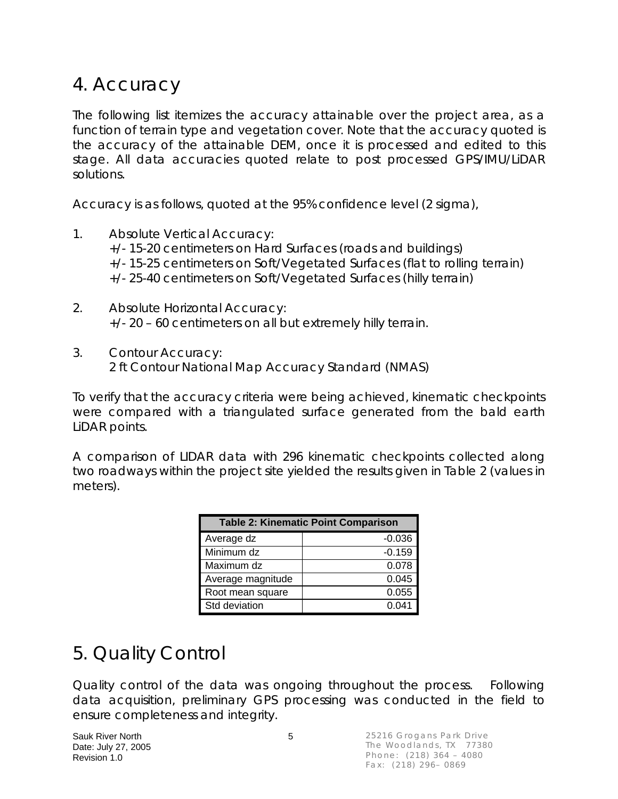## 4. Accuracy

The following list itemizes the accuracy attainable over the project area, as a function of terrain type and vegetation cover. Note that the accuracy quoted is the accuracy of the attainable DEM, once it is processed and edited to this stage. All data accuracies quoted relate to post processed GPS/IMU/LiDAR solutions.

Accuracy is as follows, quoted at the 95% confidence level (2 sigma),

- 1. Absolute Vertical Accuracy: +/- 15-20 centimeters on Hard Surfaces (roads and buildings) +/- 15-25 centimeters on Soft/Vegetated Surfaces (flat to rolling terrain) +/- 25-40 centimeters on Soft/Vegetated Surfaces (hilly terrain)
- 2. Absolute Horizontal Accuracy: +/- 20 – 60 centimeters on all but extremely hilly terrain.
- 3. Contour Accuracy: 2 ft Contour National Map Accuracy Standard (NMAS)

To verify that the accuracy criteria were being achieved, kinematic checkpoints were compared with a triangulated surface generated from the bald earth LiDAR points.

A comparison of LIDAR data with 296 kinematic checkpoints collected along two roadways within the project site yielded the results given in Table 2 (values in meters).

| <b>Table 2: Kinematic Point Comparison</b> |          |  |  |  |  |
|--------------------------------------------|----------|--|--|--|--|
| Average dz                                 | $-0.036$ |  |  |  |  |
| Minimum dz                                 | $-0.159$ |  |  |  |  |
| Maximum dz                                 | 0.078    |  |  |  |  |
| Average magnitude                          | 0.045    |  |  |  |  |
| Root mean square                           | 0.055    |  |  |  |  |
| Std deviation                              | 0.041    |  |  |  |  |

# 5. Quality Control

Quality control of the data was ongoing throughout the process. Following data acquisition, preliminary GPS processing was conducted in the field to ensure completeness and integrity.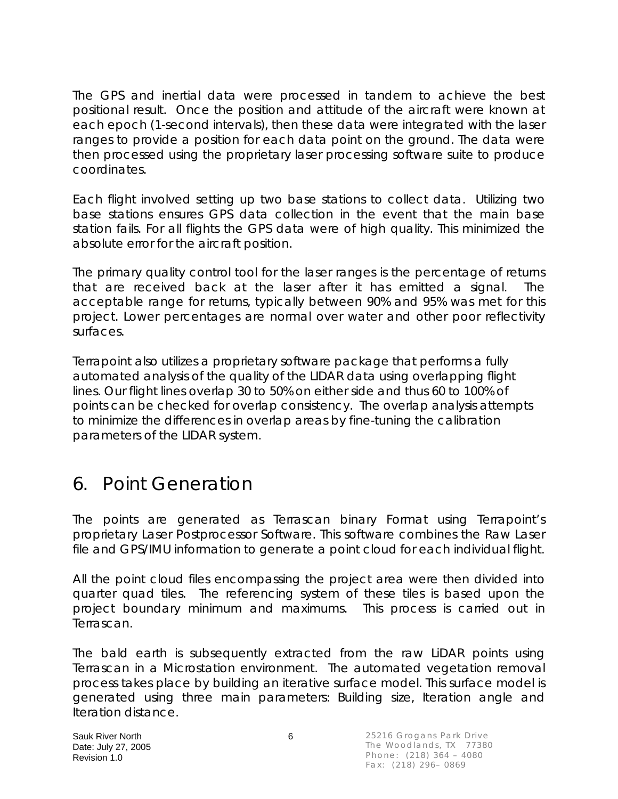The GPS and inertial data were processed in tandem to achieve the best positional result. Once the position and attitude of the aircraft were known at each epoch (1-second intervals), then these data were integrated with the laser ranges to provide a position for each data point on the ground. The data were then processed using the proprietary laser processing software suite to produce coordinates.

Each flight involved setting up two base stations to collect data. Utilizing two base stations ensures GPS data collection in the event that the main base station fails. For all flights the GPS data were of high quality. This minimized the absolute error for the aircraft position.

The primary quality control tool for the laser ranges is the percentage of returns that are received back at the laser after it has emitted a signal. The acceptable range for returns, typically between 90% and 95% was met for this project. Lower percentages are normal over water and other poor reflectivity surfaces.

Terrapoint also utilizes a proprietary software package that performs a fully automated analysis of the quality of the LIDAR data using overlapping flight lines. Our flight lines overlap 30 to 50% on either side and thus 60 to 100% of points can be checked for overlap consistency. The overlap analysis attempts to minimize the differences in overlap areas by fine-tuning the calibration parameters of the LIDAR system.

## 6. Point Generation

The points are generated as Terrascan binary Format using Terrapoint's proprietary Laser Postprocessor Software. This software combines the Raw Laser file and GPS/IMU information to generate a point cloud for each individual flight.

All the point cloud files encompassing the project area were then divided into quarter quad tiles. The referencing system of these tiles is based upon the project boundary minimum and maximums. This process is carried out in Terrascan.

The bald earth is subsequently extracted from the raw LiDAR points using Terrascan in a Microstation environment. The automated vegetation removal process takes place by building an iterative surface model. This surface model is generated using three main parameters: Building size, Iteration angle and Iteration distance.

Sauk River North 6 Date: July 27, 2005 Revision 1.0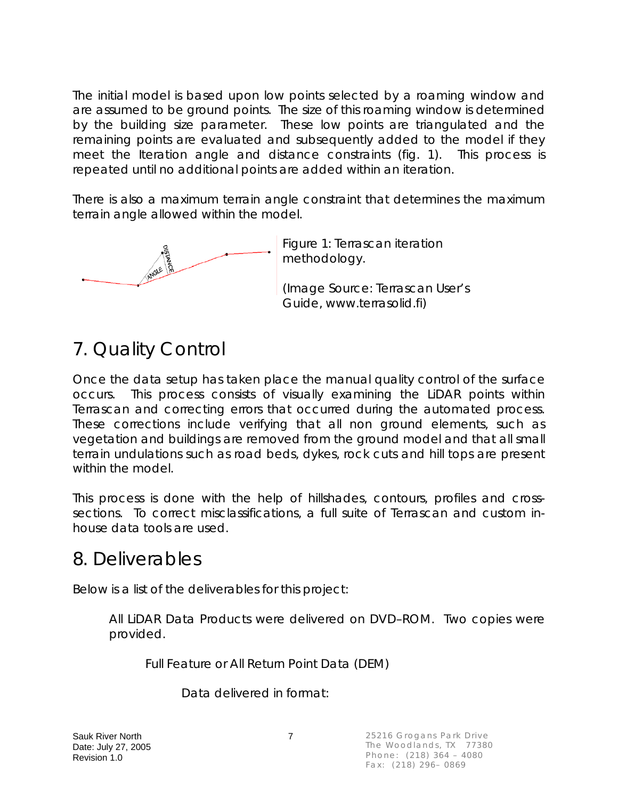The initial model is based upon low points selected by a roaming window and are assumed to be ground points. The size of this roaming window is determined by the building size parameter. These low points are triangulated and the remaining points are evaluated and subsequently added to the model if they meet the Iteration angle and distance constraints (fig. 1). This process is repeated until no additional points are added within an iteration.

There is also a maximum terrain angle constraint that determines the maximum terrain angle allowed within the model.



Figure 1: Terrascan iteration methodology.

(Image Source: Terrascan User's Guide, www.terrasolid.fi)

# 7. Quality Control

Once the data setup has taken place the manual quality control of the surface occurs. This process consists of visually examining the LiDAR points within Terrascan and correcting errors that occurred during the automated process. These corrections include verifying that all non ground elements, such as vegetation and buildings are removed from the ground model and that all small terrain undulations such as road beds, dykes, rock cuts and hill tops are present within the model.

This process is done with the help of hillshades, contours, profiles and crosssections. To correct misclassifications, a full suite of Terrascan and custom inhouse data tools are used.

## 8. Deliverables

Below is a list of the deliverables for this project:

All LiDAR Data Products were delivered on DVD–ROM. Two copies were provided.

Full Feature or All Return Point Data (DEM)

Data delivered in format:

Sauk River North 7 Date: July 27, 2005 Revision 1.0